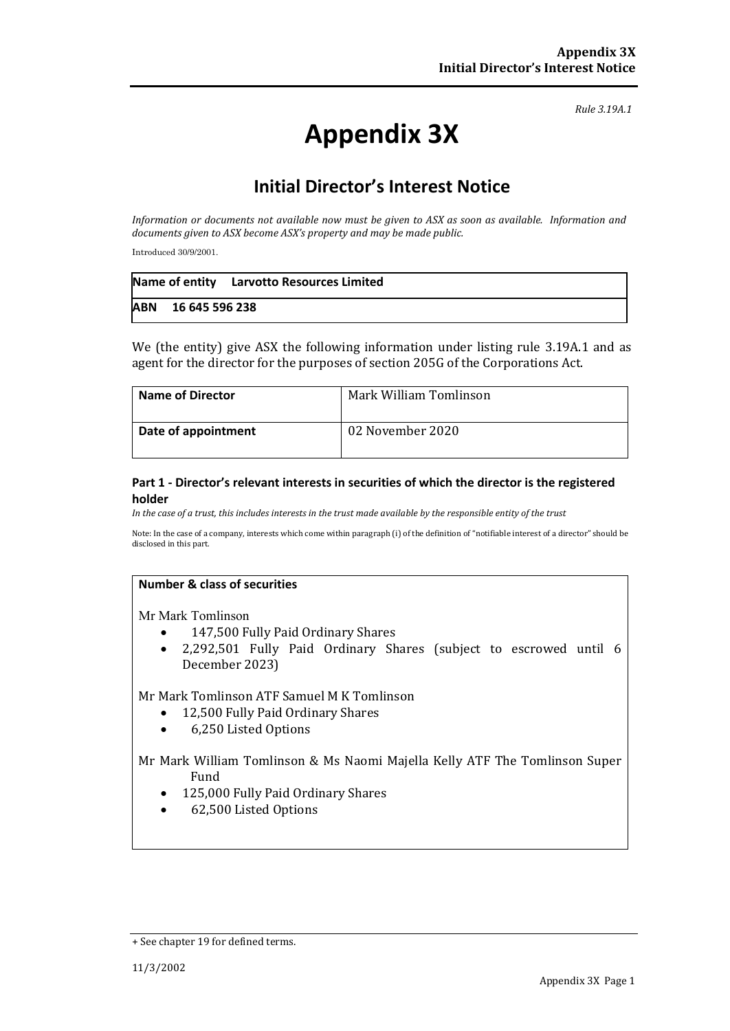*Rule 3.19A.1*

# **Appendix 3X**

## **Initial Director's Interest Notice**

*Information or documents not available now must be given to ASX as soon as available. Information and documents given to ASX become ASX's property and may be made public.*

Introduced 30/9/2001.

|                    | Name of entity Larvotto Resources Limited |
|--------------------|-------------------------------------------|
| ABN 16 645 596 238 |                                           |

We (the entity) give ASX the following information under listing rule 3.19A.1 and as agent for the director for the purposes of section 205G of the Corporations Act.

| <b>Name of Director</b> | Mark William Tomlinson |
|-------------------------|------------------------|
| Date of appointment     | 02 November 2020       |

#### **Part 1 - Director's relevant interests in securities of which the director is the registered holder**

*In the case of a trust, this includes interests in the trust made available by the responsible entity of the trust*

Note: In the case of a company, interests which come within paragraph (i) of the definition of "notifiable interest of a director" should be disclosed in this part.

#### **Number & class of securities**

Mr Mark Tomlinson

- 147,500 Fully Paid Ordinary Shares
- 2,292,501 Fully Paid Ordinary Shares (subject to escrowed until 6 December 2023)

Mr Mark Tomlinson ATF Samuel M K Tomlinson

- 12,500 Fully Paid Ordinary Shares
- 6,250 Listed Options

Mr Mark William Tomlinson & Ms Naomi Majella Kelly ATF The Tomlinson Super Fund

- 125,000 Fully Paid Ordinary Shares
- 62,500 Listed Options

<sup>+</sup> See chapter 19 for defined terms.